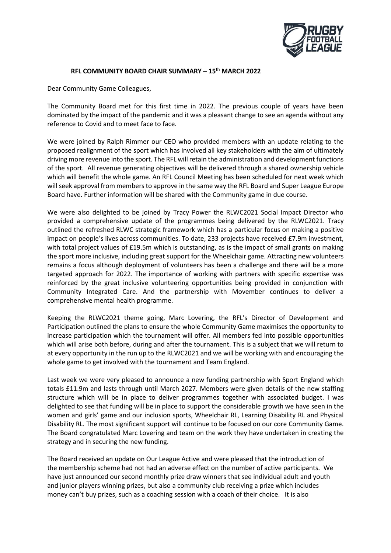

## **RFL COMMUNITY BOARD CHAIR SUMMARY – 15th MARCH 2022**

Dear Community Game Colleagues,

The Community Board met for this first time in 2022. The previous couple of years have been dominated by the impact of the pandemic and it was a pleasant change to see an agenda without any reference to Covid and to meet face to face.

We were joined by Ralph Rimmer our CEO who provided members with an update relating to the proposed realignment of the sport which has involved all key stakeholders with the aim of ultimately driving more revenue into the sport. The RFL will retain the administration and development functions of the sport. All revenue generating objectives will be delivered through a shared ownership vehicle which will benefit the whole game. An RFL Council Meeting has been scheduled for next week which will seek approval from members to approve in the same way the RFL Board and Super League Europe Board have. Further information will be shared with the Community game in due course.

We were also delighted to be joined by Tracy Power the RLWC2021 Social Impact Director who provided a comprehensive update of the programmes being delivered by the RLWC2021. Tracy outlined the refreshed RLWC strategic framework which has a particular focus on making a positive impact on people's lives across communities. To date, 233 projects have received £7.9m investment, with total project values of £19.5m which is outstanding, as is the impact of small grants on making the sport more inclusive, including great support for the Wheelchair game. Attracting new volunteers remains a focus although deployment of volunteers has been a challenge and there will be a more targeted approach for 2022. The importance of working with partners with specific expertise was reinforced by the great inclusive volunteering opportunities being provided in conjunction with Community Integrated Care. And the partnership with Movember continues to deliver a comprehensive mental health programme.

Keeping the RLWC2021 theme going, Marc Lovering, the RFL's Director of Development and Participation outlined the plans to ensure the whole Community Game maximises the opportunity to increase participation which the tournament will offer. All members fed into possible opportunities which will arise both before, during and after the tournament. This is a subject that we will return to at every opportunity in the run up to the RLWC2021 and we will be working with and encouraging the whole game to get involved with the tournament and Team England.

Last week we were very pleased to announce a new funding partnership with Sport England which totals £11.9m and lasts through until March 2027. Members were given details of the new staffing structure which will be in place to deliver programmes together with associated budget. I was delighted to see that funding will be in place to support the considerable growth we have seen in the women and girls' game and our inclusion sports, Wheelchair RL, Learning Disability RL and Physical Disability RL. The most significant support will continue to be focused on our core Community Game. The Board congratulated Marc Lovering and team on the work they have undertaken in creating the strategy and in securing the new funding.

The Board received an update on Our League Active and were pleased that the introduction of the membership scheme had not had an adverse effect on the number of active participants. We have just announced our second monthly prize draw winners that see individual adult and youth and junior players winning prizes, but also a community club receiving a prize which includes money can't buy prizes, such as a coaching session with a coach of their choice. It is also